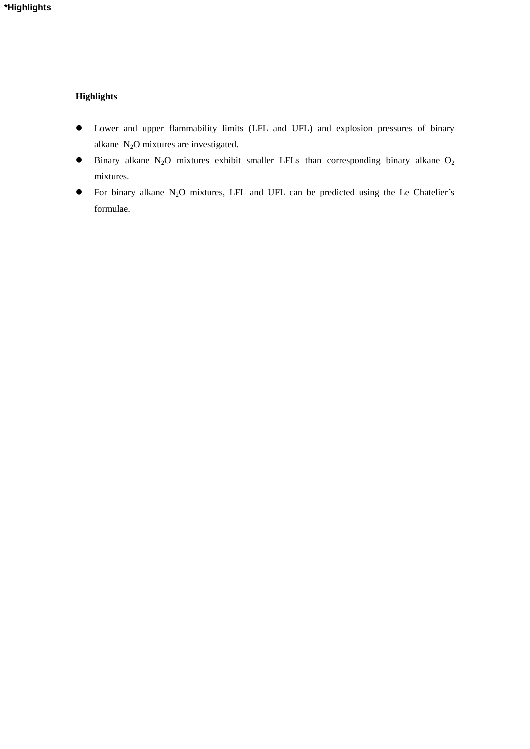## **Highlights**

- Lower and upper flammability limits (LFL and UFL) and explosion pressures of binary alkane– $N_2O$  mixtures are investigated.
- $\bullet$  Binary alkane–N<sub>2</sub>O mixtures exhibit smaller LFLs than corresponding binary alkane–O<sub>2</sub> mixtures.
- $\bullet$  For binary alkane–N<sub>2</sub>O mixtures, LFL and UFL can be predicted using the Le Chatelier's formulae.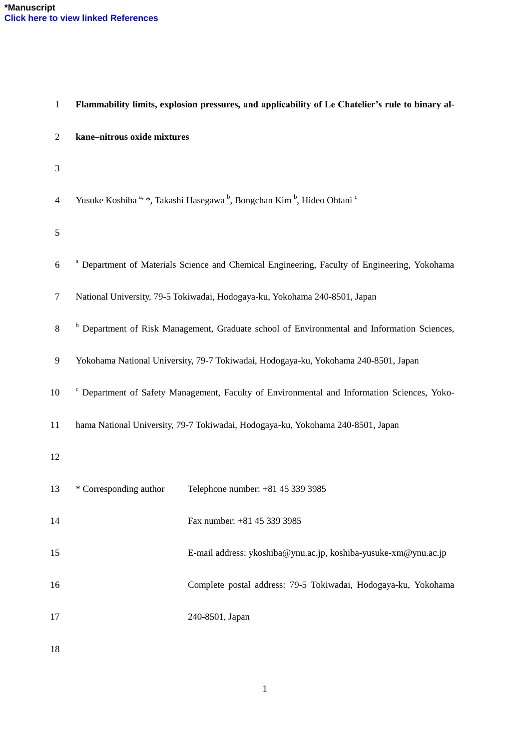| $\mathbf{1}$     |                             | Flammability limits, explosion pressures, and applicability of Le Chatelier's rule to binary al-                       |
|------------------|-----------------------------|------------------------------------------------------------------------------------------------------------------------|
| $\overline{2}$   | kane-nitrous oxide mixtures |                                                                                                                        |
| 3                |                             |                                                                                                                        |
| $\overline{4}$   |                             | Yusuke Koshiba <sup>a, *</sup> , Takashi Hasegawa <sup>b</sup> , Bongchan Kim <sup>b</sup> , Hideo Ohtani <sup>c</sup> |
| $\sqrt{5}$       |                             |                                                                                                                        |
| $\boldsymbol{6}$ |                             | <sup>a</sup> Department of Materials Science and Chemical Engineering, Faculty of Engineering, Yokohama                |
| $\tau$           |                             | National University, 79-5 Tokiwadai, Hodogaya-ku, Yokohama 240-8501, Japan                                             |
| $\,8\,$          |                             | <sup>b</sup> Department of Risk Management, Graduate school of Environmental and Information Sciences,                 |
| 9                |                             | Yokohama National University, 79-7 Tokiwadai, Hodogaya-ku, Yokohama 240-8501, Japan                                    |
| 10               |                             | <sup>c</sup> Department of Safety Management, Faculty of Environmental and Information Sciences, Yoko-                 |
| 11               |                             | hama National University, 79-7 Tokiwadai, Hodogaya-ku, Yokohama 240-8501, Japan                                        |
| 12               |                             |                                                                                                                        |
| 13               | * Corresponding author      | Telephone number: +81 45 339 3985                                                                                      |
| 14               |                             | Fax number: +81 45 339 3985                                                                                            |
| 15               |                             | E-mail address: ykoshiba@ynu.ac.jp, koshiba-yusuke-xm@ynu.ac.jp                                                        |
| 16               |                             | Complete postal address: 79-5 Tokiwadai, Hodogaya-ku, Yokohama                                                         |
| 17               |                             | 240-8501, Japan                                                                                                        |
| 18               |                             |                                                                                                                        |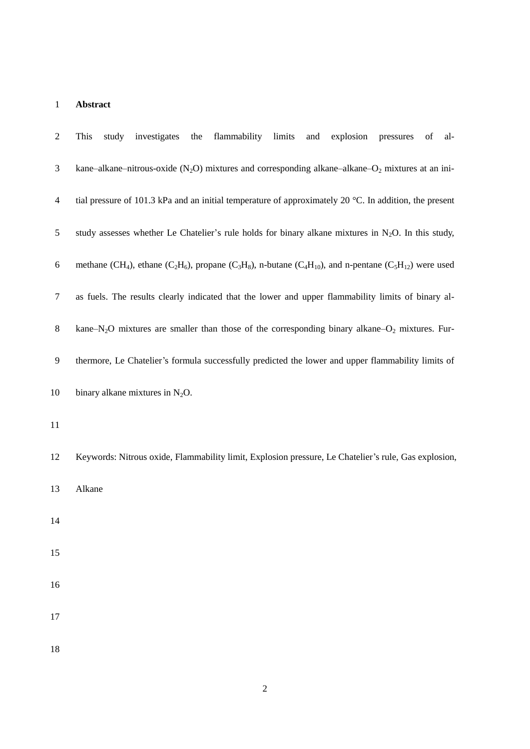## **Abstract**

| $\sqrt{2}$       | investigates<br>flammability<br>explosion<br>This<br>study<br>the<br>limits<br>and<br>of<br>al-<br>pressures                                                                                                         |
|------------------|----------------------------------------------------------------------------------------------------------------------------------------------------------------------------------------------------------------------|
| 3                | kane–alkane–nitrous-oxide (N <sub>2</sub> O) mixtures and corresponding alkane–alkane–O <sub>2</sub> mixtures at an ini-                                                                                             |
| $\overline{4}$   | tial pressure of 101.3 kPa and an initial temperature of approximately 20 °C. In addition, the present                                                                                                               |
| 5                | study assesses whether Le Chatelier's rule holds for binary alkane mixtures in $N_2O$ . In this study,                                                                                                               |
| $\boldsymbol{6}$ | methane (CH <sub>4</sub> ), ethane (C <sub>2</sub> H <sub>6</sub> ), propane (C <sub>3</sub> H <sub>8</sub> ), n-butane (C <sub>4</sub> H <sub>10</sub> ), and n-pentane (C <sub>5</sub> H <sub>12</sub> ) were used |
| 7                | as fuels. The results clearly indicated that the lower and upper flammability limits of binary al-                                                                                                                   |
| $\,8\,$          | kane– $N_2O$ mixtures are smaller than those of the corresponding binary alkane– $O_2$ mixtures. Fur-                                                                                                                |
| 9                | thermore, Le Chatelier's formula successfully predicted the lower and upper flammability limits of                                                                                                                   |
| 10               | binary alkane mixtures in $N_2O$ .                                                                                                                                                                                   |
| 11               |                                                                                                                                                                                                                      |
| 12               | Keywords: Nitrous oxide, Flammability limit, Explosion pressure, Le Chatelier's rule, Gas explosion,                                                                                                                 |
| 13               | Alkane                                                                                                                                                                                                               |
| 14               |                                                                                                                                                                                                                      |
| 15               |                                                                                                                                                                                                                      |
| 16               |                                                                                                                                                                                                                      |
| 17               |                                                                                                                                                                                                                      |
| 18               |                                                                                                                                                                                                                      |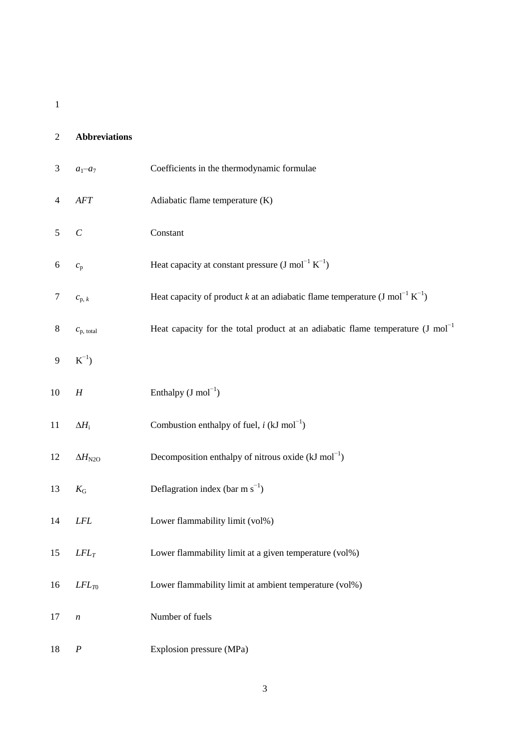## 2 **Abbreviations**

| 3      | $a_1 - a_7$             | Coefficients in the thermodynamic formulae                                                   |
|--------|-------------------------|----------------------------------------------------------------------------------------------|
| 4      | $AFT\,$                 | Adiabatic flame temperature (K)                                                              |
| 5      | $\cal C$                | Constant                                                                                     |
| 6      | $c_{\rm p}$             | Heat capacity at constant pressure $(J \text{ mol}^{-1} K^{-1})$                             |
| $\tau$ | $c_{p, k}$              | Heat capacity of product k at an adiabatic flame temperature $(J \text{ mol}^{-1} K^{-1})$   |
| $8\,$  | $c_{\rm p, \ total}$    | Heat capacity for the total product at an adiabatic flame temperature $(J \text{ mol}^{-1})$ |
| 9      | $K^{-1}$ )              |                                                                                              |
| 10     | H                       | Enthalpy $(J \text{ mol}^{-1})$                                                              |
| 11     | $\Delta H_{\rm i}$      | Combustion enthalpy of fuel, $i$ (kJ mol <sup>-1</sup> )                                     |
| 12     | $\Delta H_{\text{N2O}}$ | Decomposition enthalpy of nitrous oxide $(kJ \text{ mol}^{-1})$                              |
| 13     | $K_{\rm G}$             | Deflagration index (bar m $s^{-1}$ )                                                         |
| 14     | ${\it LFL}$             | Lower flammability limit (vol%)                                                              |
| 15     | $LFL_T$                 | Lower flammability limit at a given temperature (vol%)                                       |
| 16     | $LFL_{T0}$              | Lower flammability limit at ambient temperature (vol%)                                       |
| 17     | $\boldsymbol{n}$        | Number of fuels                                                                              |
| 18     | $\boldsymbol{P}$        | Explosion pressure (MPa)                                                                     |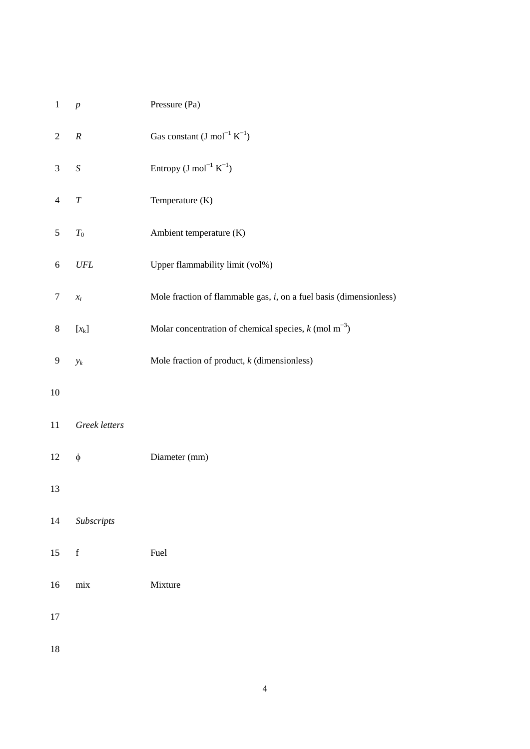| $\mathbf{1}$   | $\boldsymbol{p}$ | Pressure (Pa)                                                         |
|----------------|------------------|-----------------------------------------------------------------------|
| $\overline{2}$ | $\cal R$         | Gas constant $(J \text{ mol}^{-1} K^{-1})$                            |
| $\mathfrak{Z}$ | $\boldsymbol{S}$ | Entropy (J mol <sup>-1</sup> $K^{-1}$ )                               |
| $\overline{4}$ | $\cal T$         | Temperature (K)                                                       |
| $\mathfrak s$  | $\mathcal{T}_0$  | Ambient temperature (K)                                               |
| $\sqrt{6}$     | ${\it UFL}$      | Upper flammability limit (vol%)                                       |
| $\tau$         | $x_i$            | Mole fraction of flammable gas, $i$ , on a fuel basis (dimensionless) |
| $8\,$          | $[x_k]$          | Molar concentration of chemical species, $k \text{ (mol m}^{-3})$     |
| 9              | $y_k$            | Mole fraction of product, $k$ (dimensionless)                         |
| $10\,$         |                  |                                                                       |
| $11\,$         | Greek letters    |                                                                       |
| 12             | $\phi$           | Diameter (mm)                                                         |
| 13             |                  |                                                                       |
| 14             | Subscripts       |                                                                       |
| 15             | $\mathbf f$      | Fuel                                                                  |
| 16             | $\rm mix$        | Mixture                                                               |
| 17             |                  |                                                                       |
| 18             |                  |                                                                       |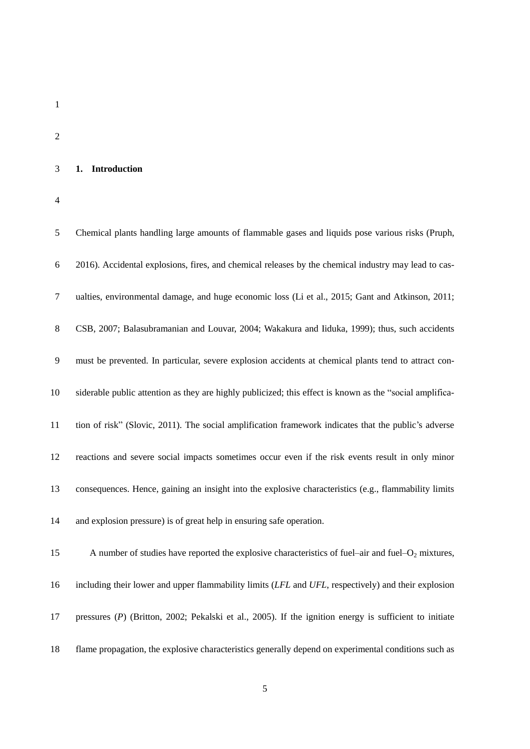- 
- 

## **1. Introduction**

 Chemical plants handling large amounts of flammable gases and liquids pose various risks (Pruph, 2016). Accidental explosions, fires, and chemical releases by the chemical industry may lead to cas- ualties, environmental damage, and huge economic loss (Li et al., 2015; Gant and Atkinson, 2011; CSB, 2007; Balasubramanian and Louvar, 2004; Wakakura and Iiduka, 1999); thus, such accidents must be prevented. In particular, severe explosion accidents at chemical plants tend to attract con- siderable public attention as they are highly publicized; this effect is known as the "social amplifica- tion of risk" (Slovic, 2011). The social amplification framework indicates that the public's adverse reactions and severe social impacts sometimes occur even if the risk events result in only minor consequences. Hence, gaining an insight into the explosive characteristics (e.g., flammability limits and explosion pressure) is of great help in ensuring safe operation. 15 A number of studies have reported the explosive characteristics of fuel–air and fuel– $O_2$  mixtures, including their lower and upper flammability limits (*LFL* and *UFL*, respectively) and their explosion pressures (*P*) (Britton, 2002; Pekalski et al., 2005). If the ignition energy is sufficient to initiate

flame propagation, the explosive characteristics generally depend on experimental conditions such as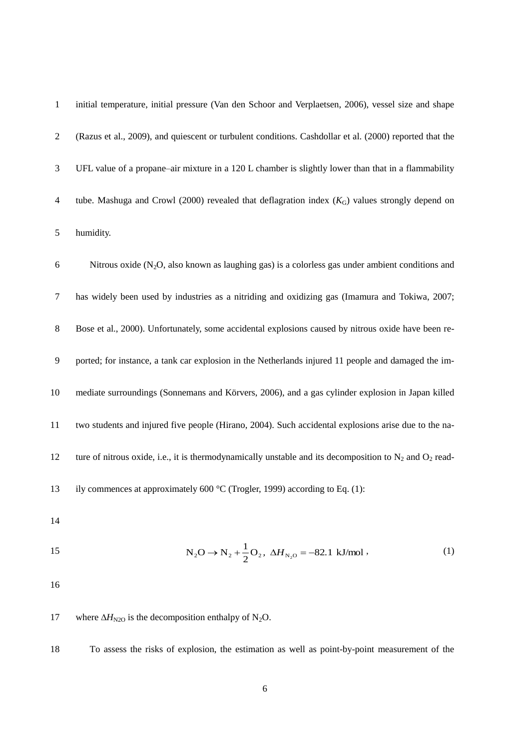initial temperature, initial pressure (Van den Schoor and Verplaetsen, 2006), vessel size and shape (Razus et al., 2009), and quiescent or turbulent conditions. Cashdollar et al. (2000) reported that the UFL value of a propane–air mixture in a 120 L chamber is slightly lower than that in a flammability 4 tube. Mashuga and Crowl (2000) revealed that deflagration index  $(K_G)$  values strongly depend on humidity. 6 Nitrous oxide  $(N_2O,$  also known as laughing gas) is a colorless gas under ambient conditions and has widely been used by industries as a nitriding and oxidizing gas (Imamura and Tokiwa, 2007; Bose et al., 2000). Unfortunately, some accidental explosions caused by nitrous oxide have been re- ported; for instance, a tank car explosion in the Netherlands injured 11 people and damaged the im- mediate surroundings (Sonnemans and Körvers, 2006), and a gas cylinder explosion in Japan killed two students and injured five people (Hirano, 2004). Such accidental explosions arise due to the na-12 ture of nitrous oxide, i.e., it is thermodynamically unstable and its decomposition to  $N_2$  and  $O_2$  read- ily commences at approximately 600 °C (Trogler, 1999) according to Eq. (1): 

$$
^{14}
$$

15 
$$
N_2O \to N_2 + \frac{1}{2}O_2
$$
,  $\Delta H_{N_2O} = -82.1$  kJ/mol, (1)

17 where  $\Delta H_{N2O}$  is the decomposition enthalpy of N<sub>2</sub>O.

To assess the risks of explosion, the estimation as well as point-by-point measurement of the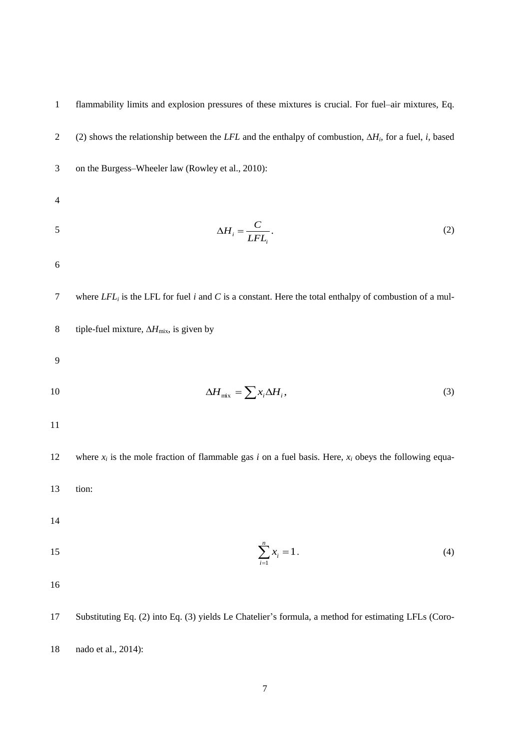1 flammability limits and explosion pressures of these mixtures is crucial. For fuel–air mixtures, Eq. (2) shows the relationship between the *LFL* and the enthalpy of combustion,  $\Delta H_i$ , for a fuel, *i*, based 3 on the Burgess–Wheeler law (Rowley et al., 2010): 4 *. LFL*  $H_i = \frac{C}{1.5}$ *i* 5  $\Delta H_i = \frac{C}{I E I}$ . (2) 6 7 where  $LFL_i$  is the LFL for fuel *i* and *C* is a constant. Here the total enthalpy of combustion of a mul-8 tiple-fuel mixture,  $\Delta H_{\text{mix}}$ , is given by 9  $\Delta H_{\text{mix}} = \sum x_i \Delta H_i,$  (3) 10 11 12 where  $x_i$  is the mole fraction of flammable gas *i* on a fuel basis. Here,  $x_i$  obeys the following equa-13 tion: 14 1  $\sum_{i=1}^n x_i =$ *n i*  $x_i = 1$ . (4) 15 16 17 Substituting Eq. (2) into Eq. (3) yields Le Chatelier's formula, a method for estimating LFLs (Coro-18 nado et al., 2014):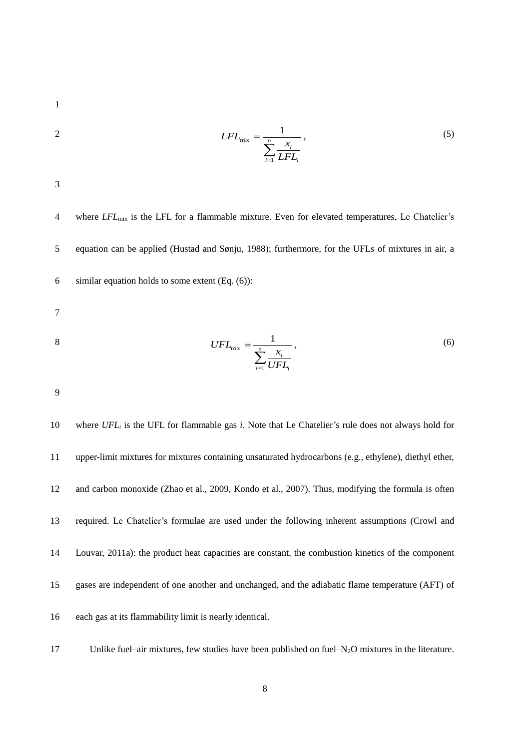$$
LFL_{\text{mix}} = \frac{1}{\sum_{i=1}^{n} \frac{x_i}{LFL_i}},\tag{5}
$$

3

4 where *LFL*<sub>mix</sub> is the LFL for a flammable mixture. Even for elevated temperatures, Le Chatelier's 5 equation can be applied (Hustad and Sønju, 1988); furthermore, for the UFLs of mixtures in air, a 6 similar equation holds to some extent  $(Eq. (6))$ : 7

$$
UFL_{\text{mix}} = \frac{1}{\sum_{i=1}^{n} \frac{x_i}{UFL_i}},\tag{6}
$$

9

10 where *UFL<sub>i</sub>* is the UFL for flammable gas *i*. Note that Le Chatelier's rule does not always hold for upper-limit mixtures for mixtures containing unsaturated hydrocarbons (e.g., ethylene), diethyl ether, and carbon monoxide (Zhao et al., 2009, Kondo et al., 2007). Thus, modifying the formula is often required. Le Chatelier's formulae are used under the following inherent assumptions (Crowl and Louvar, 2011a): the product heat capacities are constant, the combustion kinetics of the component gases are independent of one another and unchanged, and the adiabatic flame temperature (AFT) of each gas at its flammability limit is nearly identical.

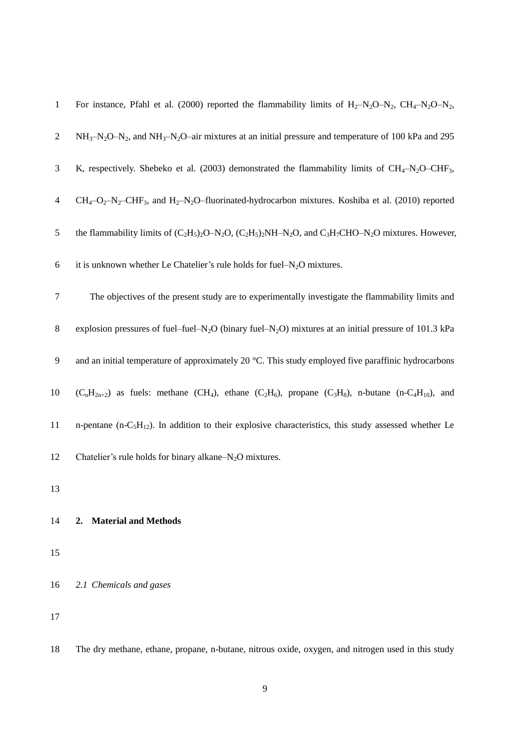| $\mathbf{1}$ | For instance, Pfahl et al. (2000) reported the flammability limits of $H_2-N_2O-N_2$ , $CH_4-N_2O-N_2$ ,                      |
|--------------|-------------------------------------------------------------------------------------------------------------------------------|
| 2            | $NH_3-N_2O-N_2$ , and $NH_3-N_2O$ —air mixtures at an initial pressure and temperature of 100 kPa and 295                     |
| 3            | K, respectively. Shebeko et al. (2003) demonstrated the flammability limits of $CH_4-N_2O-CHF_3$ ,                            |
| 4            | $CH_4-O_2-N_2-CHF_3$ , and $H_2-N_2O$ -fluorinated-hydrocarbon mixtures. Koshiba et al. (2010) reported                       |
| 5            | the flammability limits of $(C_2H_5)_2O-N_2O$ , $(C_2H_5)_2NH-N_2O$ , and $C_3H_7CHO-N_2O$ mixtures. However,                 |
| 6            | it is unknown whether Le Chatelier's rule holds for fuel $-N_2O$ mixtures.                                                    |
| 7            | The objectives of the present study are to experimentally investigate the flammability limits and                             |
| 8            | explosion pressures of fuel–fuel–N <sub>2</sub> O (binary fuel–N <sub>2</sub> O) mixtures at an initial pressure of 101.3 kPa |
| 9            | and an initial temperature of approximately 20 $^{\circ}$ C. This study employed five paraffinic hydrocarbons                 |
| 10           | $(C_nH_{2n+2})$ as fuels: methane $(CH_4)$ , ethane $(C_2H_6)$ , propane $(C_3H_8)$ , n-butane $(n-C_4H_{10})$ , and          |
| 11           | n-pentane (n-C <sub>5</sub> H <sub>12</sub> ). In addition to their explosive characteristics, this study assessed whether Le |
| 12           | Chatelier's rule holds for binary alkane– $N_2O$ mixtures.                                                                    |
| 13           |                                                                                                                               |
| 14           | <b>Material and Methods</b><br>2.                                                                                             |
| 15           |                                                                                                                               |
| 16           | 2.1 Chemicals and gases                                                                                                       |
| 17           |                                                                                                                               |
| 18           | The dry methane, ethane, propane, n-butane, nitrous oxide, oxygen, and nitrogen used in this study                            |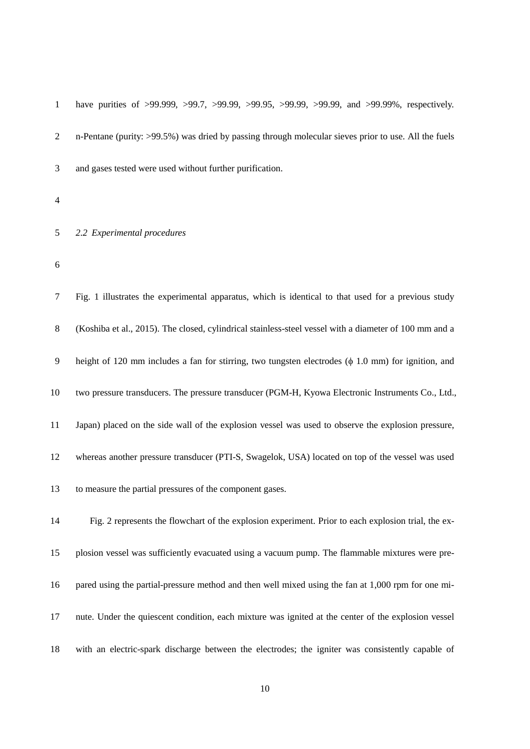| $\mathbf{1}$ | have purities of >99.999, >99.7, >99.99, >99.95, >99.99, >99.99, and >99.99%, respectively.             |
|--------------|---------------------------------------------------------------------------------------------------------|
| 2            | n-Pentane (purity: >99.5%) was dried by passing through molecular sieves prior to use. All the fuels    |
| 3            | and gases tested were used without further purification.                                                |
| 4            |                                                                                                         |
| 5            | 2.2 Experimental procedures                                                                             |
| 6            |                                                                                                         |
| 7            | Fig. 1 illustrates the experimental apparatus, which is identical to that used for a previous study     |
| 8            | (Koshiba et al., 2015). The closed, cylindrical stainless-steel vessel with a diameter of 100 mm and a  |
| 9            | height of 120 mm includes a fan for stirring, two tungsten electrodes $(\phi$ 1.0 mm) for ignition, and |
| 10           | two pressure transducers. The pressure transducer (PGM-H, Kyowa Electronic Instruments Co., Ltd.,       |
| 11           | Japan) placed on the side wall of the explosion vessel was used to observe the explosion pressure,      |
| 12           | whereas another pressure transducer (PTI-S, Swagelok, USA) located on top of the vessel was used        |
| 13           | to measure the partial pressures of the component gases.                                                |
| 14           | Fig. 2 represents the flowchart of the explosion experiment. Prior to each explosion trial, the ex-     |
| 15           | plosion vessel was sufficiently evacuated using a vacuum pump. The flammable mixtures were pre-         |
| 16           | pared using the partial-pressure method and then well mixed using the fan at 1,000 rpm for one mi-      |
| 17           | nute. Under the quiescent condition, each mixture was ignited at the center of the explosion vessel     |
|              |                                                                                                         |

with an electric-spark discharge between the electrodes; the igniter was consistently capable of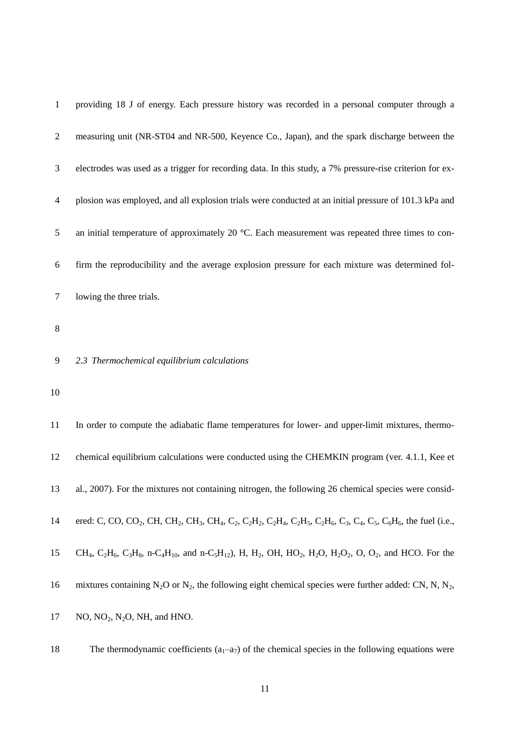| 1              | providing 18 J of energy. Each pressure history was recorded in a personal computer through a                                                                                                                                                                                                                                                |
|----------------|----------------------------------------------------------------------------------------------------------------------------------------------------------------------------------------------------------------------------------------------------------------------------------------------------------------------------------------------|
| $\overline{c}$ | measuring unit (NR-ST04 and NR-500, Keyence Co., Japan), and the spark discharge between the                                                                                                                                                                                                                                                 |
| 3              | electrodes was used as a trigger for recording data. In this study, a 7% pressure-rise criterion for ex-                                                                                                                                                                                                                                     |
| 4              | plosion was employed, and all explosion trials were conducted at an initial pressure of 101.3 kPa and                                                                                                                                                                                                                                        |
| 5              | an initial temperature of approximately 20 $^{\circ}$ C. Each measurement was repeated three times to con-                                                                                                                                                                                                                                   |
| 6              | firm the reproducibility and the average explosion pressure for each mixture was determined fol-                                                                                                                                                                                                                                             |
| 7              | lowing the three trials.                                                                                                                                                                                                                                                                                                                     |
| 8              |                                                                                                                                                                                                                                                                                                                                              |
| 9              | 2.3 Thermochemical equilibrium calculations                                                                                                                                                                                                                                                                                                  |
| 10             |                                                                                                                                                                                                                                                                                                                                              |
| 11             | In order to compute the adiabatic flame temperatures for lower- and upper-limit mixtures, thermo-                                                                                                                                                                                                                                            |
| 12             | chemical equilibrium calculations were conducted using the CHEMKIN program (ver. 4.1.1, Kee et                                                                                                                                                                                                                                               |
| 13             | al., 2007). For the mixtures not containing nitrogen, the following 26 chemical species were consid-                                                                                                                                                                                                                                         |
| 14             | ered: C, CO, CO <sub>2</sub> , CH, CH <sub>2</sub> , CH <sub>3</sub> , CH <sub>4</sub> , C <sub>2</sub> , C <sub>2</sub> H <sub>2</sub> , C <sub>2</sub> H <sub>4</sub> , C <sub>2</sub> H <sub>5</sub> , C <sub>2</sub> H <sub>6</sub> , C <sub>3</sub> , C <sub>4</sub> , C <sub>5</sub> , C <sub>6</sub> H <sub>6</sub> , the fuel (i.e., |
| 15             | $CH_4$ , $C_2H_6$ , $C_3H_8$ , n- $C_4H_{10}$ , and n- $C_5H_{12}$ ), H, H <sub>2</sub> , OH, HO <sub>2</sub> , H <sub>2</sub> O, H <sub>2</sub> O <sub>2</sub> , O, O <sub>2</sub> , and HCO. For the                                                                                                                                       |
| 16             | mixtures containing $N_2O$ or $N_2$ , the following eight chemical species were further added: CN, N, N <sub>2</sub> ,                                                                                                                                                                                                                       |
| 17             |                                                                                                                                                                                                                                                                                                                                              |
|                | $NO$ , $NO2$ , $N2O$ , $NH$ , and $HNO$ .                                                                                                                                                                                                                                                                                                    |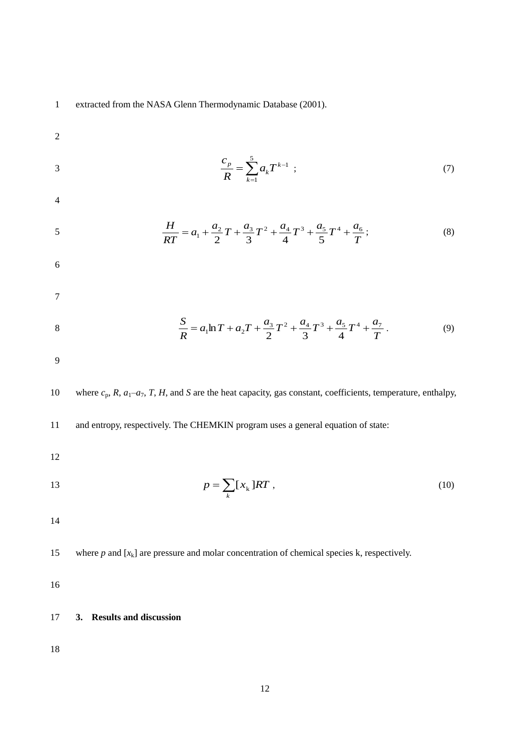2  
\n3  
\n
$$
\frac{c_p}{R} = \sum_{k=1}^{5} a_k T^{k-1}
$$
; (7)  
\n4  
\n5  
\n
$$
\frac{H}{RT} = a_1 + \frac{a_2}{2} T + \frac{a_3}{3} T^2 + \frac{a_4}{4} T^3 + \frac{a_5}{5} T^4 + \frac{a_6}{T};
$$
 (8)  
\n6  
\n7  
\n8  
\n
$$
\frac{S}{R} = a_1 \ln T + a_2 T + \frac{a_3}{2} T^2 + \frac{a_4}{3} T^3 + \frac{a_5}{4} T^4 + \frac{a_7}{T}.
$$
 (9)  
\n9  
\n10 where  $c_p$ ,  $R$ ,  $a_1-a_7$ ,  $T$ ,  $H$ , and  $S$  are the heat capacity, gas constant, coefficients, temperature, enthalpy, and entropy, respectively. The CHEMKIN program uses a general equation of state:  
\n12  
\n13  
\n
$$
p = \sum_k [x_k] RT
$$
, (10)  
\n14  
\n15 where  $p$  and  $[x_k]$  are pressure and molar concentration of chemical species k, respectively.  
\n16  
\n17  
\n3. Results and discussion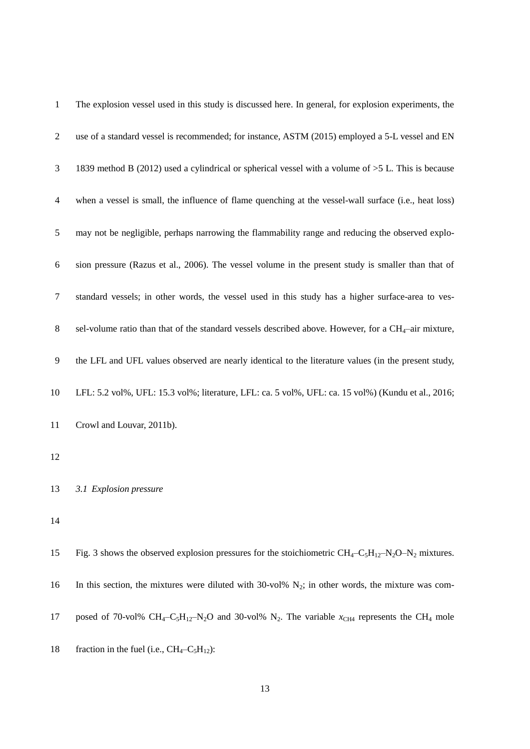| $\mathbf{1}$     | The explosion vessel used in this study is discussed here. In general, for explosion experiments, the              |
|------------------|--------------------------------------------------------------------------------------------------------------------|
| $\overline{2}$   | use of a standard vessel is recommended; for instance, ASTM (2015) employed a 5-L vessel and EN                    |
| 3                | 1839 method B (2012) used a cylindrical or spherical vessel with a volume of $>5$ L. This is because               |
| 4                | when a vessel is small, the influence of flame quenching at the vessel-wall surface (i.e., heat loss)              |
| 5                | may not be negligible, perhaps narrowing the flammability range and reducing the observed explo-                   |
| $\boldsymbol{6}$ | sion pressure (Razus et al., 2006). The vessel volume in the present study is smaller than that of                 |
| $\tau$           | standard vessels; in other words, the vessel used in this study has a higher surface-area to ves-                  |
| 8                | sel-volume ratio than that of the standard vessels described above. However, for a $CH_4$ -air mixture,            |
| 9                | the LFL and UFL values observed are nearly identical to the literature values (in the present study,               |
| 10               | LFL: 5.2 vol%, UFL: 15.3 vol%; literature, LFL: ca. 5 vol%, UFL: ca. 15 vol%) (Kundu et al., 2016;                 |
| 11               | Crowl and Louvar, 2011b).                                                                                          |
| 12               |                                                                                                                    |
| 13               | 3.1 Explosion pressure                                                                                             |
| 14               |                                                                                                                    |
| 15               | Fig. 3 shows the observed explosion pressures for the stoichiometric $CH_4-C_5H_{12}-N_2O-N_2$ mixtures.           |
| 16               | In this section, the mixtures were diluted with 30-vol% $N_2$ ; in other words, the mixture was com-               |
| 17               | posed of 70-vol% $CH_4-C_5H_{12}-N_2O$ and 30-vol% $N_2$ . The variable $xCH4$ represents the CH <sub>4</sub> mole |
| 18               | fraction in the fuel (i.e., $CH_4-C_5H_{12}$ ):                                                                    |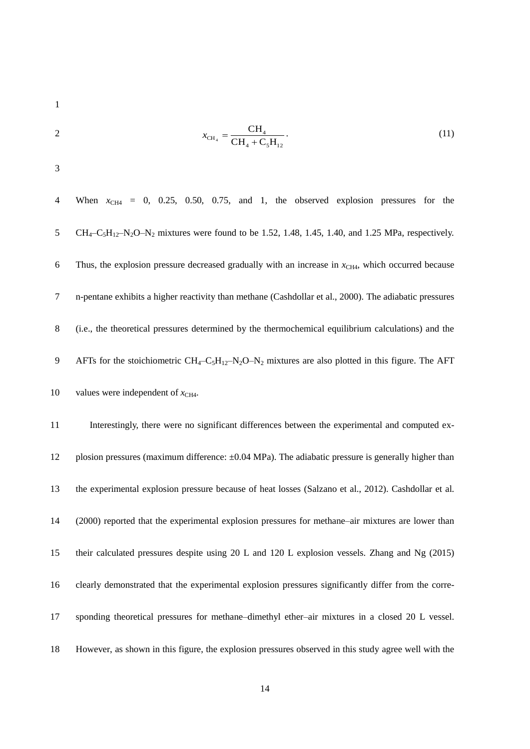$$
\mathcal{L}_{\mathcal{A}}(x)
$$

$$
x_{\text{CH}_4} = \frac{\text{CH}_4}{\text{CH}_4 + \text{C}_5 \text{H}_{12}}.
$$
 (11)

4 When  $x_{CH4} = 0$ , 0.25, 0.50, 0.75, and 1, the observed explosion pressures for the 5 CH<sub>4</sub>-C<sub>5</sub>H<sub>12</sub>-N<sub>2</sub>O-N<sub>2</sub> mixtures were found to be 1.52, 1.48, 1.45, 1.40, and 1.25 MPa, respectively. 6 Thus, the explosion pressure decreased gradually with an increase in  $x<sub>CH4</sub>$ , which occurred because n-pentane exhibits a higher reactivity than methane (Cashdollar et al., 2000). The adiabatic pressures (i.e., the theoretical pressures determined by the thermochemical equilibrium calculations) and the 9 AFTs for the stoichiometric  $CH_4-C_5H_{12}-N_2O-N_2$  mixtures are also plotted in this figure. The AFT 10 values were independent of  $x_{CH4}$ . Interestingly, there were no significant differences between the experimental and computed ex-12 plosion pressures (maximum difference:  $\pm 0.04$  MPa). The adiabatic pressure is generally higher than the experimental explosion pressure because of heat losses (Salzano et al., 2012). Cashdollar et al. (2000) reported that the experimental explosion pressures for methane–air mixtures are lower than their calculated pressures despite using 20 L and 120 L explosion vessels. Zhang and Ng (2015) clearly demonstrated that the experimental explosion pressures significantly differ from the corre- sponding theoretical pressures for methane–dimethyl ether–air mixtures in a closed 20 L vessel. However, as shown in this figure, the explosion pressures observed in this study agree well with the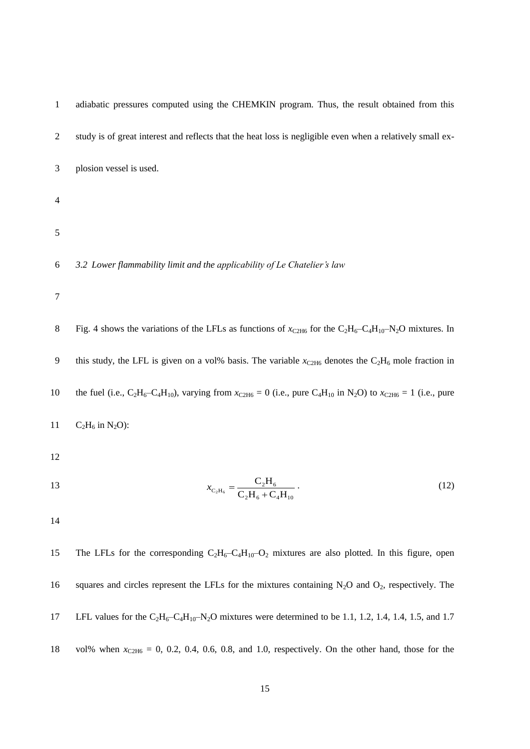1 adiabatic pressures computed using the CHEMKIN program. Thus, the result obtained from this 2 study is of great interest and reflects that the heat loss is negligible even when a relatively small ex-3 plosion vessel is used. 4 5 6 *3.2 Lower flammability limit and the applicability of Le Chatelier's law* 7 8 Fig. 4 shows the variations of the LFLs as functions of  $x_{C2H6}$  for the  $C_2H_6-C_4H_{10}-N_2O$  mixtures. In 9 this study, the LFL is given on a vol% basis. The variable  $x_{C2H6}$  denotes the  $C_2H_6$  mole fraction in 10 the fuel (i.e.,  $C_2H_6-C_4H_{10}$ ), varying from  $x_{C2H6} = 0$  (i.e., pure  $C_4H_{10}$  in N<sub>2</sub>O) to  $x_{C2H6} = 1$  (i.e., pure 11  $C_2H_6$  in N<sub>2</sub>O): 12  $_{2}$  $\mathbf{11}_{6}$   $\top$   $\mathbf{C}_{4}$  $\mathbf{11}_{10}$  $C_2H_6 = \frac{C_2H_6}{C_2H_6 + C_4H}$  $C_2H$  $x_{\rm C_2H_6} = \frac{C_2H_6}{C_2H_6 + C_4H_{10}}$  (12) 13 14 15 The LFLs for the corresponding  $C_2H_6-C_4H_{10}-O_2$  mixtures are also plotted. In this figure, open

16 squares and circles represent the LFLs for the mixtures containing  $N_2O$  and  $O_2$ , respectively. The 17 LFL values for the  $C_2H_6-C_4H_{10}-N_2O$  mixtures were determined to be 1.1, 1.2, 1.4, 1.4, 1.5, and 1.7 18 vol% when  $x_{C2H6} = 0$ , 0.2, 0.4, 0.6, 0.8, and 1.0, respectively. On the other hand, those for the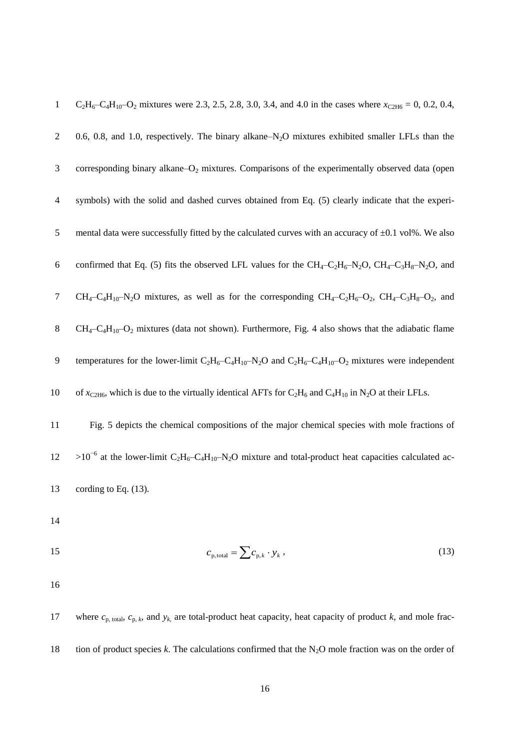| $\mathbf{1}$   | $C_2H_6-C_4H_{10}-O_2$ mixtures were 2.3, 2.5, 2.8, 3.0, 3.4, and 4.0 in the cases where $x_{C2H6}=0, 0.2, 0.4,$             |
|----------------|------------------------------------------------------------------------------------------------------------------------------|
| $\overline{2}$ | 0.6, 0.8, and 1.0, respectively. The binary alkane– $N_2O$ mixtures exhibited smaller LFLs than the                          |
| 3              | corresponding binary alkane-O <sub>2</sub> mixtures. Comparisons of the experimentally observed data (open                   |
| $\overline{4}$ | symbols) with the solid and dashed curves obtained from Eq. (5) clearly indicate that the experi-                            |
| 5              | mental data were successfully fitted by the calculated curves with an accuracy of $\pm 0.1$ vol%. We also                    |
| 6              | confirmed that Eq. (5) fits the observed LFL values for the $CH_4-C_2H_6-N_2O$ , $CH_4-C_3H_8-N_2O$ , and                    |
| $\tau$         | $CH_4-C_4H_{10}-N_2O$ mixtures, as well as for the corresponding $CH_4-C_2H_6-O_2$ , $CH_4-C_3H_8-O_2$ , and                 |
| 8              | $CH_4-C_4H_{10}-O_2$ mixtures (data not shown). Furthermore, Fig. 4 also shows that the adiabatic flame                      |
| 9              | temperatures for the lower-limit $C_2H_6-C_4H_{10}-N_2O$ and $C_2H_6-C_4H_{10}-O_2$ mixtures were independent                |
| 10             | of $x_{C2H6}$ , which is due to the virtually identical AFTs for $C_2H_6$ and $C_4H_{10}$ in N <sub>2</sub> O at their LFLs. |
| 11             | Fig. 5 depicts the chemical compositions of the major chemical species with mole fractions of                                |
| 12             | >10 <sup>-6</sup> at the lower-limit $C_2H_6-C_4H_{10}-N_2O$ mixture and total-product heat capacities calculated ac-        |
| 13             | cording to Eq. $(13)$ .                                                                                                      |
| 14             |                                                                                                                              |
| 15             | $c_{p,\text{total}} = \sum c_{p,k} \cdot y_k$ ,<br>(13)                                                                      |
| 16             |                                                                                                                              |

17 where  $c_{p, total}$ ,  $c_{p, k}$ , and  $y_k$ , are total-product heat capacity, heat capacity of product *k*, and mole frac-18 tion of product species  $k$ . The calculations confirmed that the  $N_2O$  mole fraction was on the order of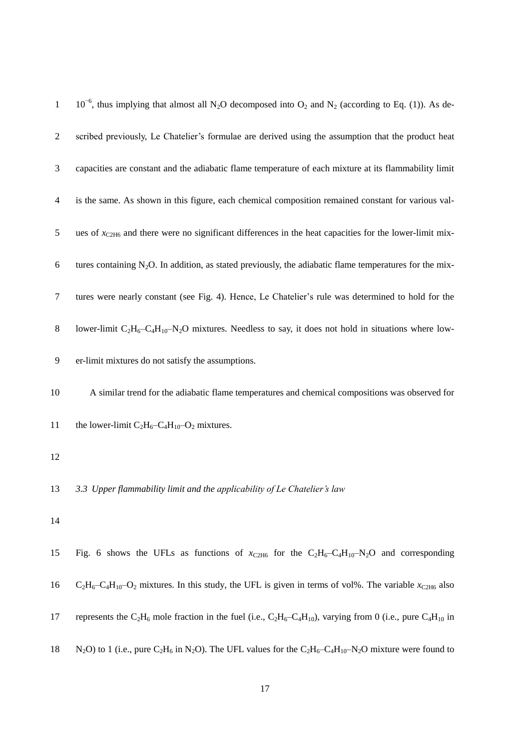| $\mathbf{1}$ | $10^{-6}$ , thus implying that almost all N <sub>2</sub> O decomposed into O <sub>2</sub> and N <sub>2</sub> (according to Eq. (1)). As de-                                                                 |
|--------------|-------------------------------------------------------------------------------------------------------------------------------------------------------------------------------------------------------------|
| 2            | scribed previously, Le Chatelier's formulae are derived using the assumption that the product heat                                                                                                          |
| 3            | capacities are constant and the adiabatic flame temperature of each mixture at its flammability limit                                                                                                       |
| 4            | is the same. As shown in this figure, each chemical composition remained constant for various val-                                                                                                          |
| 5            | ues of $x_{C2H6}$ and there were no significant differences in the heat capacities for the lower-limit mix-                                                                                                 |
| 6            | tures containing $N_2O$ . In addition, as stated previously, the adiabatic flame temperatures for the mix-                                                                                                  |
| 7            | tures were nearly constant (see Fig. 4). Hence, Le Chatelier's rule was determined to hold for the                                                                                                          |
| 8            | lower-limit $C_2H_0 - C_4H_{10} - N_2O$ mixtures. Needless to say, it does not hold in situations where low-                                                                                                |
| 9            | er-limit mixtures do not satisfy the assumptions.                                                                                                                                                           |
| 10           | A similar trend for the adiabatic flame temperatures and chemical compositions was observed for                                                                                                             |
|              |                                                                                                                                                                                                             |
| 11           | the lower-limit $C_2H_6-C_4H_{10}-O_2$ mixtures.                                                                                                                                                            |
| 12           |                                                                                                                                                                                                             |
| 13           | 3.3 Upper flammability limit and the applicability of Le Chatelier's law                                                                                                                                    |
| 14           |                                                                                                                                                                                                             |
| 15           | Fig. 6 shows the UFLs as functions of $x_{C2H6}$ for the $C_2H_6-C_4H_{10}-N_2O$ and corresponding                                                                                                          |
| 16           | $C_2H_6-C_4H_{10}-O_2$ mixtures. In this study, the UFL is given in terms of vol%. The variable $x_{C2H6}$ also                                                                                             |
| 17           | represents the C <sub>2</sub> H <sub>6</sub> mole fraction in the fuel (i.e., C <sub>2</sub> H <sub>6</sub> –C <sub>4</sub> H <sub>10</sub> ), varying from 0 (i.e., pure C <sub>4</sub> H <sub>10</sub> in |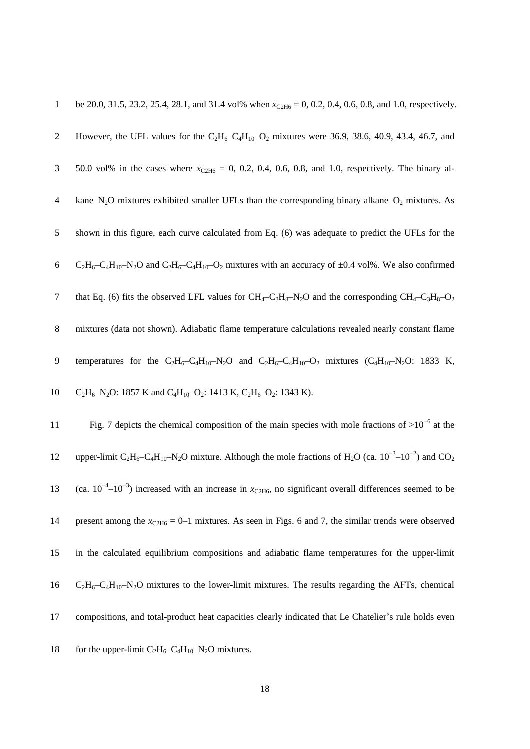1 be 20.0, 31.5, 23.2, 25.4, 28.1, and 31.4 vol% when  $x_{C2H6} = 0$ , 0.2, 0.4, 0.6, 0.8, and 1.0, respectively. 2 However, the UFL values for the  $C_2H_6-C_4H_{10}-O_2$  mixtures were 36.9, 38.6, 40.9, 43.4, 46.7, and 3 50.0 vol% in the cases where  $x_{C2H6} = 0$ , 0.2, 0.4, 0.6, 0.8, and 1.0, respectively. The binary al-4 kane–N<sub>2</sub>O mixtures exhibited smaller UFLs than the corresponding binary alkane–O<sub>2</sub> mixtures. As 5 shown in this figure, each curve calculated from Eq. (6) was adequate to predict the UFLs for the 6 C<sub>2</sub>H<sub>6</sub>–C<sub>4</sub>H<sub>10</sub>–N<sub>2</sub>O and C<sub>2</sub>H<sub>6</sub>–C<sub>4</sub>H<sub>10</sub>–O<sub>2</sub> mixtures with an accuracy of  $\pm$ 0.4 vol%. We also confirmed 7 that Eq. (6) fits the observed LFL values for  $CH_4-C_3H_8-N_2O$  and the corresponding  $CH_4-C_3H_8-O_2$ 8 mixtures (data not shown). Adiabatic flame temperature calculations revealed nearly constant flame 9 temperatures for the  $C_2H_6-C_4H_{10}-N_2O$  and  $C_2H_6-C_4H_{10}-O_2$  mixtures  $(C_4H_{10}-N_2O: 1833 K,$ 10  $C_2H_6-N_2O$ : 1857 K and  $C_4H_{10}-O_2$ : 1413 K,  $C_2H_6-O_2$ : 1343 K). Fig. 7 depicts the chemical composition of the main species with mole fractions of >10<sup>-6</sup> at the 12 upper-limit C<sub>2</sub>H<sub>6</sub>–C<sub>4</sub>H<sub>10</sub>–N<sub>2</sub>O mixture. Although the mole fractions of H<sub>2</sub>O (ca. 10<sup>-3</sup>–10<sup>-2</sup>) and CO<sub>2</sub> 13 (ca.  $10^{-4}$ – $10^{-3}$ ) increased with an increase in  $x_{C2H6}$ , no significant overall differences seemed to be 14 present among the  $x_{C2H6} = 0-1$  mixtures. As seen in Figs. 6 and 7, the similar trends were observed 15 in the calculated equilibrium compositions and adiabatic flame temperatures for the upper-limit  $16$  C<sub>2</sub>H<sub>6</sub>–C<sub>4</sub>H<sub>10</sub>–N<sub>2</sub>O mixtures to the lower-limit mixtures. The results regarding the AFTs, chemical 17 compositions, and total-product heat capacities clearly indicated that Le Chatelier's rule holds even 18 for the upper-limit  $C_2H_6-C_4H_{10}-N_2O$  mixtures.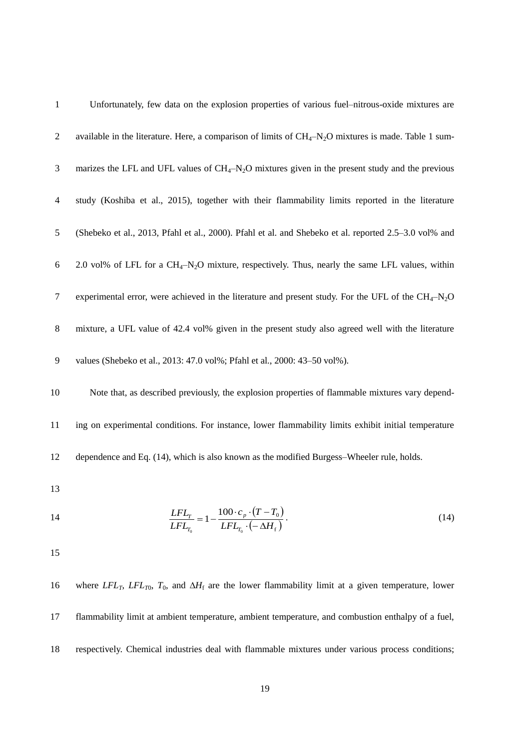| $\mathbf{1}$   | Unfortunately, few data on the explosion properties of various fuel-nitrous-oxide mixtures are                  |
|----------------|-----------------------------------------------------------------------------------------------------------------|
| $\overline{2}$ | available in the literature. Here, a comparison of limits of $CH_4-N_2O$ mixtures is made. Table 1 sum-         |
| 3              | marizes the LFL and UFL values of $CH_4$ -N <sub>2</sub> O mixtures given in the present study and the previous |
| 4              | study (Koshiba et al., 2015), together with their flammability limits reported in the literature                |
| 5              | (Shebeko et al., 2013, Pfahl et al., 2000). Pfahl et al. and Shebeko et al. reported 2.5–3.0 vol% and           |
| 6              | 2.0 vol% of LFL for a $CH_4-N_2O$ mixture, respectively. Thus, nearly the same LFL values, within               |
| $\tau$         | experimental error, were achieved in the literature and present study. For the UFL of the $CH_4-N_2O$           |
| 8              | mixture, a UFL value of 42.4 vol% given in the present study also agreed well with the literature               |
| 9              | values (Shebeko et al., 2013: 47.0 vol%; Pfahl et al., 2000: 43-50 vol%).                                       |
| 10             | Note that, as described previously, the explosion properties of flammable mixtures vary depend-                 |
| 11             | ing on experimental conditions. For instance, lower flammability limits exhibit initial temperature             |
| 12             | dependence and Eq. (14), which is also known as the modified Burgess–Wheeler rule, holds.                       |

14 
$$
\frac{LFL_r}{LFL_{T_0}} = 1 - \frac{100 \cdot c_p \cdot (T - T_0)}{LFL_{T_0} \cdot (-\Delta H_f)}.
$$
 (14)

16 where  $LFL_T$ ,  $LFL_{T0}$ ,  $T_0$ , and  $\Delta H_f$  are the lower flammability limit at a given temperature, lower flammability limit at ambient temperature, ambient temperature, and combustion enthalpy of a fuel, respectively. Chemical industries deal with flammable mixtures under various process conditions;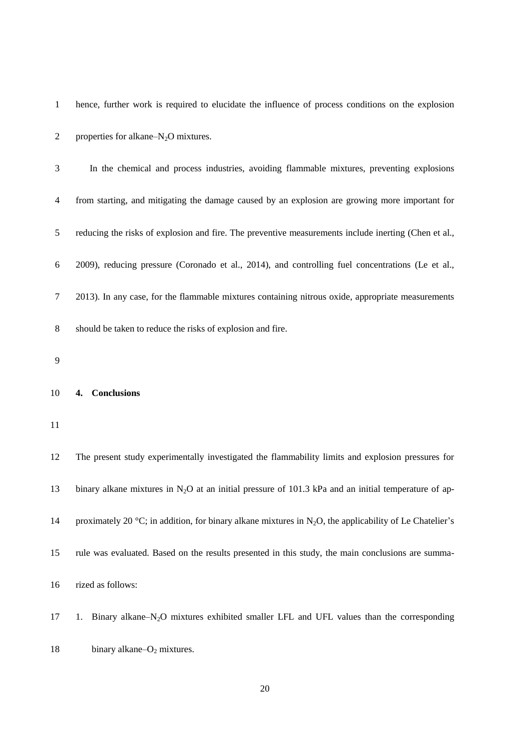| 1  | hence, further work is required to elucidate the influence of process conditions on the explosion    |
|----|------------------------------------------------------------------------------------------------------|
| 2  | properties for alkane– $N_2O$ mixtures.                                                              |
| 3  | In the chemical and process industries, avoiding flammable mixtures, preventing explosions           |
| 4  | from starting, and mitigating the damage caused by an explosion are growing more important for       |
| 5  | reducing the risks of explosion and fire. The preventive measurements include inerting (Chen et al., |
| 6  | 2009), reducing pressure (Coronado et al., 2014), and controlling fuel concentrations (Le et al.,    |
| 7  | 2013). In any case, for the flammable mixtures containing nitrous oxide, appropriate measurements    |
| 8  | should be taken to reduce the risks of explosion and fire.                                           |
| 9  |                                                                                                      |
| 10 | <b>Conclusions</b><br>4.                                                                             |

| 12 | The present study experimentally investigated the flammability limits and explosion pressures for                   |
|----|---------------------------------------------------------------------------------------------------------------------|
| 13 | binary alkane mixtures in N <sub>2</sub> O at an initial pressure of 101.3 kPa and an initial temperature of ap-    |
| 14 | proximately 20 °C; in addition, for binary alkane mixtures in N <sub>2</sub> O, the applicability of Le Chatelier's |
| 15 | rule was evaluated. Based on the results presented in this study, the main conclusions are summa-                   |
| 16 | rized as follows:                                                                                                   |
| 17 | 1. Binary alkane–N <sub>2</sub> O mixtures exhibited smaller LFL and UFL values than the corresponding              |

18 binary alkane– $O_2$  mixtures.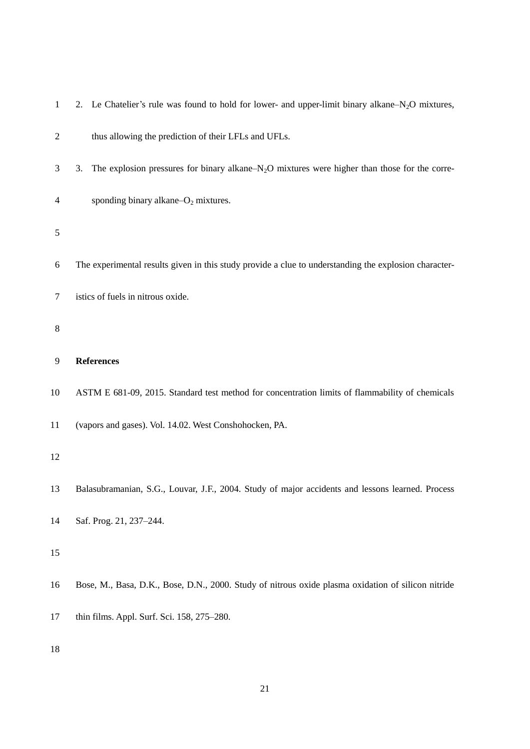| $\mathbf{1}$   | 2. Le Chatelier's rule was found to hold for lower- and upper-limit binary alkane- $N_2O$ mixtures,   |
|----------------|-------------------------------------------------------------------------------------------------------|
| $\overline{2}$ | thus allowing the prediction of their LFLs and UFLs.                                                  |
| 3              | 3. The explosion pressures for binary alkane– $N_2O$ mixtures were higher than those for the corre-   |
| 4              | sponding binary alkane-O <sub>2</sub> mixtures.                                                       |
| 5              |                                                                                                       |
| 6              | The experimental results given in this study provide a clue to understanding the explosion character- |
| 7              | istics of fuels in nitrous oxide.                                                                     |
| 8              |                                                                                                       |
| 9              | <b>References</b>                                                                                     |
| 10             | ASTM E 681-09, 2015. Standard test method for concentration limits of flammability of chemicals       |
| 11             | (vapors and gases). Vol. 14.02. West Conshohocken, PA.                                                |
| 12             |                                                                                                       |
| 13             | Balasubramanian, S.G., Louvar, J.F., 2004. Study of major accidents and lessons learned. Process      |
| 14             | Saf. Prog. 21, 237-244.                                                                               |
| 15             |                                                                                                       |
| 16             | Bose, M., Basa, D.K., Bose, D.N., 2000. Study of nitrous oxide plasma oxidation of silicon nitride    |
| 17             | thin films. Appl. Surf. Sci. 158, 275-280.                                                            |
|                |                                                                                                       |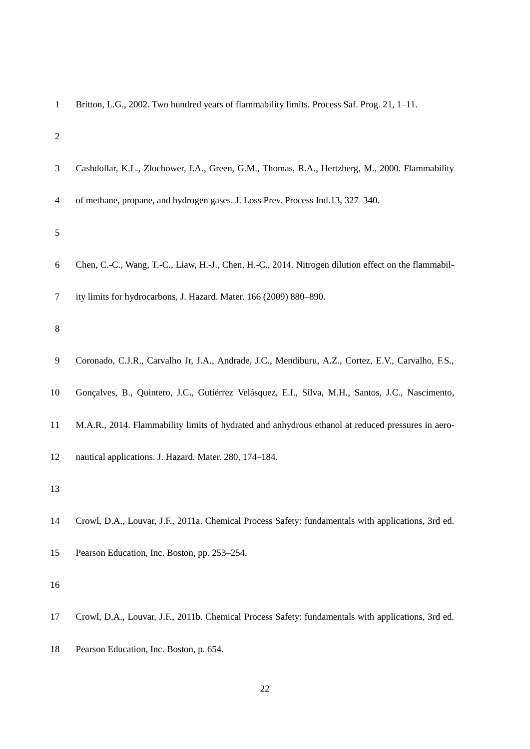| $\mathbf{1}$   | Britton, L.G., 2002. Two hundred years of flammability limits. Process Saf. Prog. 21, 1–11.          |
|----------------|------------------------------------------------------------------------------------------------------|
| $\overline{c}$ |                                                                                                      |
| 3              | Cashdollar, K.L., Zlochower, I.A., Green, G.M., Thomas, R.A., Hertzberg, M., 2000. Flammability      |
| 4              | of methane, propane, and hydrogen gases. J. Loss Prev. Process Ind.13, 327-340.                      |
| 5              |                                                                                                      |
| 6              | Chen, C.-C., Wang, T.-C., Liaw, H.-J., Chen, H.-C., 2014. Nitrogen dilution effect on the flammabil- |
| $\tau$         | ity limits for hydrocarbons, J. Hazard. Mater. 166 (2009) 880-890.                                   |
| 8              |                                                                                                      |
| 9              | Coronado, C.J.R., Carvalho Jr, J.A., Andrade, J.C., Mendiburu, A.Z., Cortez, E.V., Carvalho, F.S.,   |
| 10             | Gonçalves, B., Quintero, J.C., Gutiérrez Velásquez, E.I., Silva, M.H., Santos, J.C., Nascimento,     |
| 11             | M.A.R., 2014. Flammability limits of hydrated and anhydrous ethanol at reduced pressures in aero-    |
| 12             | nautical applications. J. Hazard. Mater. 280, 174-184.                                               |
| 13             |                                                                                                      |
| 14             | Crowl, D.A., Louvar, J.F., 2011a. Chemical Process Safety: fundamentals with applications, 3rd ed.   |
| 15             | Pearson Education, Inc. Boston, pp. 253–254.                                                         |
| 16             |                                                                                                      |
| 17             | Crowl, D.A., Louvar, J.F., 2011b. Chemical Process Safety: fundamentals with applications, 3rd ed.   |

Pearson Education, Inc. Boston, p. 654.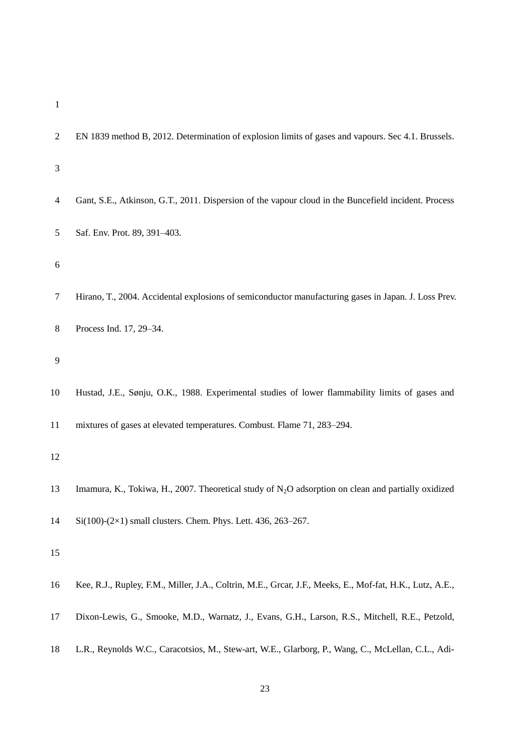| 2  | EN 1839 method B, 2012. Determination of explosion limits of gases and vapours. Sec 4.1. Brussels.       |
|----|----------------------------------------------------------------------------------------------------------|
| 3  |                                                                                                          |
| 4  | Gant, S.E., Atkinson, G.T., 2011. Dispersion of the vapour cloud in the Buncefield incident. Process     |
| 5  | Saf. Env. Prot. 89, 391-403.                                                                             |
| 6  |                                                                                                          |
| 7  | Hirano, T., 2004. Accidental explosions of semiconductor manufacturing gases in Japan. J. Loss Prev.     |
| 8  | Process Ind. 17, 29-34.                                                                                  |
| 9  |                                                                                                          |
| 10 | Hustad, J.E., Sønju, O.K., 1988. Experimental studies of lower flammability limits of gases and          |
| 11 | mixtures of gases at elevated temperatures. Combust. Flame 71, 283-294.                                  |
| 12 |                                                                                                          |
| 13 | Imamura, K., Tokiwa, H., 2007. Theoretical study of $N_2O$ adsorption on clean and partially oxidized    |
| 14 | $Si(100)$ - $(2\times1)$ small clusters. Chem. Phys. Lett. 436, 263–267.                                 |
| 15 |                                                                                                          |
| 16 | Kee, R.J., Rupley, F.M., Miller, J.A., Coltrin, M.E., Grcar, J.F., Meeks, E., Mof-fat, H.K., Lutz, A.E., |
| 17 | Dixon-Lewis, G., Smooke, M.D., Warnatz, J., Evans, G.H., Larson, R.S., Mitchell, R.E., Petzold,          |
| 18 | L.R., Reynolds W.C., Caracotsios, M., Stew-art, W.E., Glarborg, P., Wang, C., McLellan, C.L., Adi-       |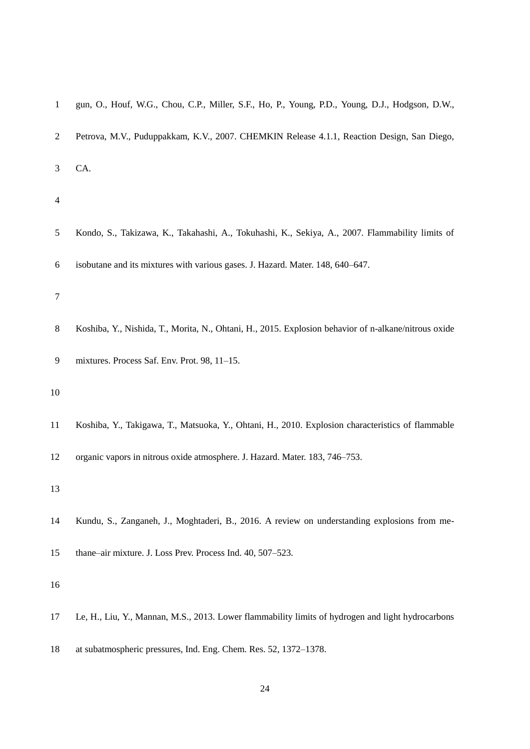| $\mathbf{1}$ | gun, O., Houf, W.G., Chou, C.P., Miller, S.F., Ho, P., Young, P.D., Young, D.J., Hodgson, D.W.,      |
|--------------|------------------------------------------------------------------------------------------------------|
| 2            | Petrova, M.V., Puduppakkam, K.V., 2007. CHEMKIN Release 4.1.1, Reaction Design, San Diego,           |
| 3            | CA.                                                                                                  |
| 4            |                                                                                                      |
| 5            | Kondo, S., Takizawa, K., Takahashi, A., Tokuhashi, K., Sekiya, A., 2007. Flammability limits of      |
| 6            | isobutane and its mixtures with various gases. J. Hazard. Mater. 148, 640–647.                       |
| 7            |                                                                                                      |
| 8            | Koshiba, Y., Nishida, T., Morita, N., Ohtani, H., 2015. Explosion behavior of n-alkane/nitrous oxide |
| 9            | mixtures. Process Saf. Env. Prot. 98, 11-15.                                                         |
| 10           |                                                                                                      |
| 11           | Koshiba, Y., Takigawa, T., Matsuoka, Y., Ohtani, H., 2010. Explosion characteristics of flammable    |
| 12           | organic vapors in nitrous oxide atmosphere. J. Hazard. Mater. 183, 746-753.                          |
| 13           |                                                                                                      |
| 14           | Kundu, S., Zanganeh, J., Moghtaderi, B., 2016. A review on understanding explosions from me-         |
| 15           | thane-air mixture. J. Loss Prev. Process Ind. 40, 507-523.                                           |
| 16           |                                                                                                      |
| 17           | Le, H., Liu, Y., Mannan, M.S., 2013. Lower flammability limits of hydrogen and light hydrocarbons    |
| 18           | at subatmospheric pressures, Ind. Eng. Chem. Res. 52, 1372-1378.                                     |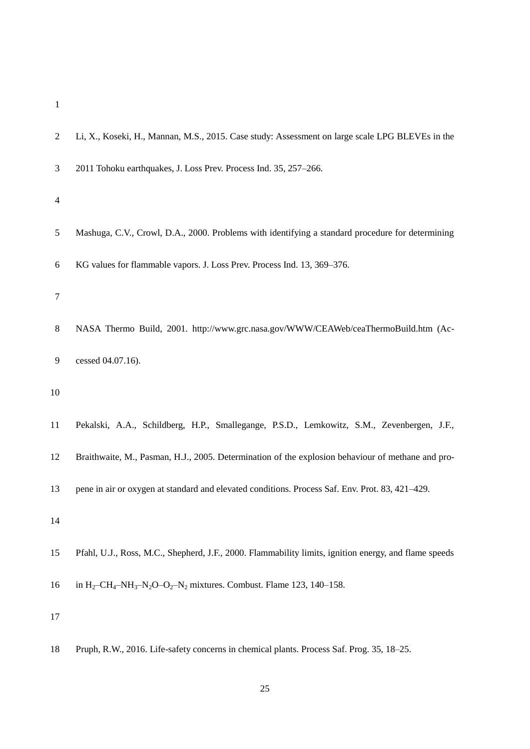| 2  | Li, X., Koseki, H., Mannan, M.S., 2015. Case study: Assessment on large scale LPG BLEVEs in the                                             |
|----|---------------------------------------------------------------------------------------------------------------------------------------------|
| 3  | 2011 Tohoku earthquakes, J. Loss Prev. Process Ind. 35, 257-266.                                                                            |
| 4  |                                                                                                                                             |
| 5  | Mashuga, C.V., Crowl, D.A., 2000. Problems with identifying a standard procedure for determining                                            |
| 6  | KG values for flammable vapors. J. Loss Prev. Process Ind. 13, 369-376.                                                                     |
| 7  |                                                                                                                                             |
| 8  | NASA Thermo Build, 2001. http://www.grc.nasa.gov/WWW/CEAWeb/ceaThermoBuild.htm (Ac-                                                         |
| 9  | cessed 04.07.16).                                                                                                                           |
| 10 |                                                                                                                                             |
| 11 | Pekalski, A.A., Schildberg, H.P., Smallegange, P.S.D., Lemkowitz, S.M., Zevenbergen, J.F.,                                                  |
| 12 | Braithwaite, M., Pasman, H.J., 2005. Determination of the explosion behaviour of methane and pro-                                           |
| 13 | pene in air or oxygen at standard and elevated conditions. Process Saf. Env. Prot. 83, 421–429.                                             |
| 14 |                                                                                                                                             |
| 15 | Pfahl, U.J., Ross, M.C., Shepherd, J.F., 2000. Flammability limits, ignition energy, and flame speeds                                       |
| 16 | in H <sub>2</sub> -CH <sub>4</sub> -NH <sub>3</sub> -N <sub>2</sub> O-O <sub>2</sub> -N <sub>2</sub> mixtures. Combust. Flame 123, 140-158. |
| 17 |                                                                                                                                             |
| 18 | Pruph, R.W., 2016. Life-safety concerns in chemical plants. Process Saf. Prog. 35, 18–25.                                                   |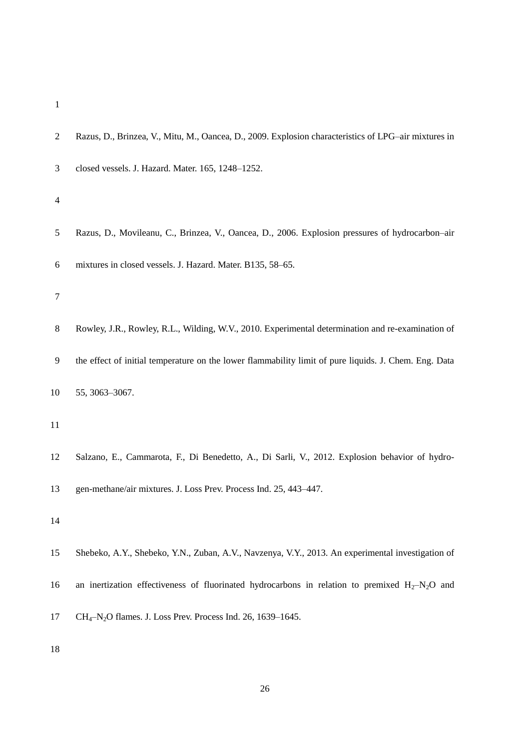| $\overline{c}$ | Razus, D., Brinzea, V., Mitu, M., Oancea, D., 2009. Explosion characteristics of LPG-air mixtures in  |
|----------------|-------------------------------------------------------------------------------------------------------|
| 3              | closed vessels. J. Hazard. Mater. 165, 1248-1252.                                                     |
| 4              |                                                                                                       |
| 5              | Razus, D., Movileanu, C., Brinzea, V., Oancea, D., 2006. Explosion pressures of hydrocarbon-air       |
| 6              | mixtures in closed vessels. J. Hazard. Mater. B135, 58–65.                                            |
| 7              |                                                                                                       |
| 8              | Rowley, J.R., Rowley, R.L., Wilding, W.V., 2010. Experimental determination and re-examination of     |
| 9              | the effect of initial temperature on the lower flammability limit of pure liquids. J. Chem. Eng. Data |
| 10             | 55, 3063-3067.                                                                                        |
| 11             |                                                                                                       |
| 12             | Salzano, E., Cammarota, F., Di Benedetto, A., Di Sarli, V., 2012. Explosion behavior of hydro-        |
| 13             | gen-methane/air mixtures. J. Loss Prev. Process Ind. 25, 443-447.                                     |
| 14             |                                                                                                       |
| 15             | Shebeko, A.Y., Shebeko, Y.N., Zuban, A.V., Navzenya, V.Y., 2013. An experimental investigation of     |
| 16             | an inertization effectiveness of fluorinated hydrocarbons in relation to premixed $H_2-N_2O$ and      |
| 17             | CH <sub>4</sub> -N <sub>2</sub> O flames. J. Loss Prev. Process Ind. 26, 1639–1645.                   |
| 18             |                                                                                                       |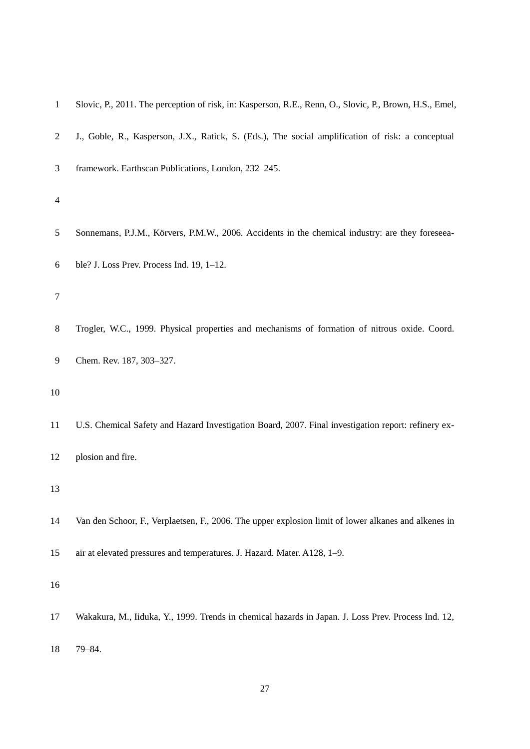| $\mathbf{1}$   | Slovic, P., 2011. The perception of risk, in: Kasperson, R.E., Renn, O., Slovic, P., Brown, H.S., Emel, |
|----------------|---------------------------------------------------------------------------------------------------------|
| $\overline{2}$ | J., Goble, R., Kasperson, J.X., Ratick, S. (Eds.), The social amplification of risk: a conceptual       |
| 3              | framework. Earthscan Publications, London, 232-245.                                                     |
| $\overline{4}$ |                                                                                                         |
| 5              | Sonnemans, P.J.M., Körvers, P.M.W., 2006. Accidents in the chemical industry: are they foreseea-        |
| 6              | ble? J. Loss Prev. Process Ind. 19, 1-12.                                                               |
| 7              |                                                                                                         |
| 8              | Trogler, W.C., 1999. Physical properties and mechanisms of formation of nitrous oxide. Coord.           |
| 9              | Chem. Rev. 187, 303-327.                                                                                |
| 10             |                                                                                                         |
| 11             | U.S. Chemical Safety and Hazard Investigation Board, 2007. Final investigation report: refinery ex-     |
| 12             | plosion and fire.                                                                                       |
| 13             |                                                                                                         |
| 14             | Van den Schoor, F., Verplaetsen, F., 2006. The upper explosion limit of lower alkanes and alkenes in    |
| 15             | air at elevated pressures and temperatures. J. Hazard. Mater. A128, 1-9.                                |
| 16             |                                                                                                         |
| 17             | Wakakura, M., Iiduka, Y., 1999. Trends in chemical hazards in Japan. J. Loss Prev. Process Ind. 12,     |
| 18             | 79-84.                                                                                                  |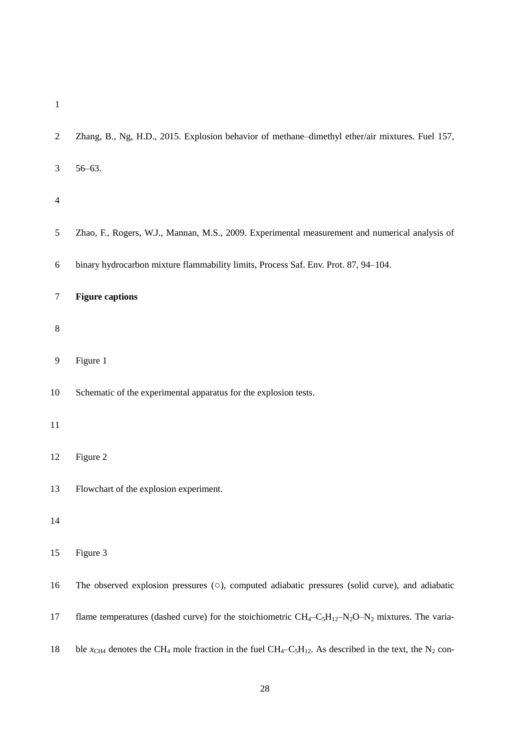| ш |  |
|---|--|
|   |  |

| $\overline{2}$   | Zhang, B., Ng, H.D., 2015. Explosion behavior of methane-dimethyl ether/air mixtures. Fuel 157,                                                                         |
|------------------|-------------------------------------------------------------------------------------------------------------------------------------------------------------------------|
| 3                | $56 - 63$ .                                                                                                                                                             |
| $\overline{4}$   |                                                                                                                                                                         |
| 5                | Zhao, F., Rogers, W.J., Mannan, M.S., 2009. Experimental measurement and numerical analysis of                                                                          |
| $\boldsymbol{6}$ | binary hydrocarbon mixture flammability limits, Process Saf. Env. Prot. 87, 94-104.                                                                                     |
| $\tau$           | <b>Figure captions</b>                                                                                                                                                  |
| $\,8\,$          |                                                                                                                                                                         |
| 9                | Figure 1                                                                                                                                                                |
| 10               | Schematic of the experimental apparatus for the explosion tests.                                                                                                        |
| 11               |                                                                                                                                                                         |
| 12               | Figure 2                                                                                                                                                                |
| 13               | Flowchart of the explosion experiment.                                                                                                                                  |
| 14               |                                                                                                                                                                         |
| 15               | Figure 3                                                                                                                                                                |
| 16               | The observed explosion pressures $(\circ)$ , computed adiabatic pressures (solid curve), and adiabatic                                                                  |
| 17               | flame temperatures (dashed curve) for the stoichiometric $CH_4-C_5H_{12}-N_2O-N_2$ mixtures. The varia-                                                                 |
| 18               | ble $x_{CH4}$ denotes the CH <sub>4</sub> mole fraction in the fuel CH <sub>4</sub> -C <sub>5</sub> H <sub>12</sub> . As described in the text, the N <sub>2</sub> con- |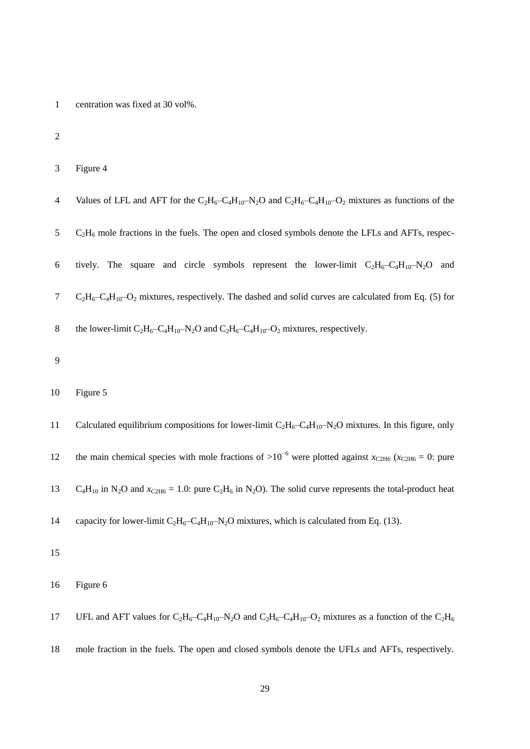1 centration was fixed at 30 vol%.

| ۰<br>I<br>I<br>٠ |  |
|------------------|--|
|                  |  |
|                  |  |
|                  |  |
|                  |  |
|                  |  |

| $\mathfrak{Z}$ | Figure 4                                                                                                                                     |
|----------------|----------------------------------------------------------------------------------------------------------------------------------------------|
| $\overline{4}$ | Values of LFL and AFT for the $C_2H_6-C_4H_{10}-N_2O$ and $C_2H_6-C_4H_{10}-O_2$ mixtures as functions of the                                |
| $\sqrt{5}$     | $C_2H_6$ mole fractions in the fuels. The open and closed symbols denote the LFLs and AFTs, respec-                                          |
| 6              | tively. The square and circle symbols represent the lower-limit $C_2H_0-C_4H_{10}-N_2O$ and                                                  |
| 7              | $C_2H_6-C_4H_{10}-O_2$ mixtures, respectively. The dashed and solid curves are calculated from Eq. (5) for                                   |
| 8              | the lower-limit $C_2H_6-C_4H_{10}-N_2O$ and $C_2H_6-C_4H_{10}-O_2$ mixtures, respectively.                                                   |
| 9              |                                                                                                                                              |
| 10             | Figure 5                                                                                                                                     |
| 11             | Calculated equilibrium compositions for lower-limit $C_2H_0-C_4H_{10}-N_2O$ mixtures. In this figure, only                                   |
| 12             | the main chemical species with mole fractions of $>10^{-6}$ were plotted against $x_{C2H6}$ ( $x_{C2H6}$ = 0: pure                           |
| 13             | $C_4H_{10}$ in N <sub>2</sub> O and $x_{C2H6} = 1.0$ : pure $C_2H_6$ in N <sub>2</sub> O). The solid curve represents the total-product heat |
| 14             | capacity for lower-limit $C_2H_6-C_4H_{10}-N_2O$ mixtures, which is calculated from Eq. (13).                                                |
| 15             |                                                                                                                                              |
| 16             | Figure 6                                                                                                                                     |

- 17 UFL and AFT values for  $C_2H_6-C_4H_{10}-N_2O$  and  $C_2H_6-C_4H_{10}-O_2$  mixtures as a function of the  $C_2H_6$
- 18 mole fraction in the fuels. The open and closed symbols denote the UFLs and AFTs, respectively.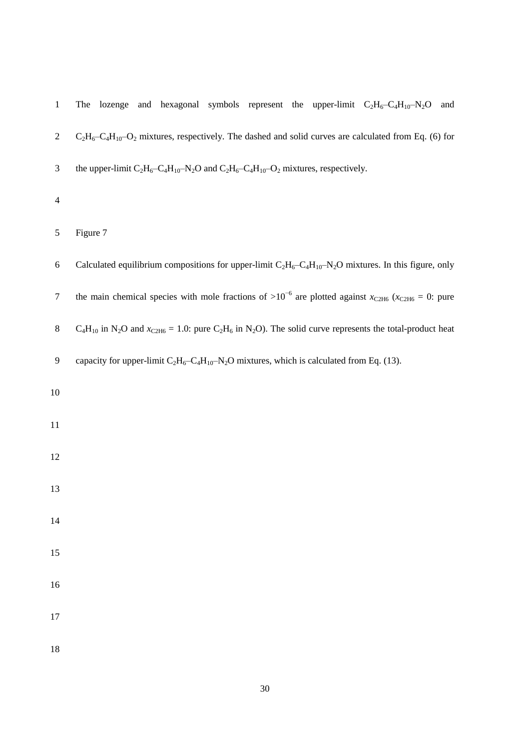1 The lozenge and hexagonal symbols represent the upper-limit  $C_2H_6-C_4H_{10}-N_2O$  and  $2 \text{ } C_2\text{H}_6-\text{C}_4\text{H}_{10}-\text{O}_2$  mixtures, respectively. The dashed and solid curves are calculated from Eq. (6) for 3 the upper-limit  $C_2H_6-C_4H_{10}-N_2O$  and  $C_2H_6-C_4H_{10}-O_2$  mixtures, respectively. Figure 7 6 Calculated equilibrium compositions for upper-limit  $C_2H_6-C_4H_{10}-N_2O$  mixtures. In this figure, only the main chemical species with mole fractions of >10<sup>-6</sup> are plotted against  $x_{C2H6}$  ( $x_{C2H6}$  = 0: pure 8 C<sub>4</sub>H<sub>10</sub> in N<sub>2</sub>O and  $x_{C2H6} = 1.0$ : pure C<sub>2</sub>H<sub>6</sub> in N<sub>2</sub>O). The solid curve represents the total-product heat 9 capacity for upper-limit  $C_2H_6-C_4H_{10}-N_2O$  mixtures, which is calculated from Eq. (13).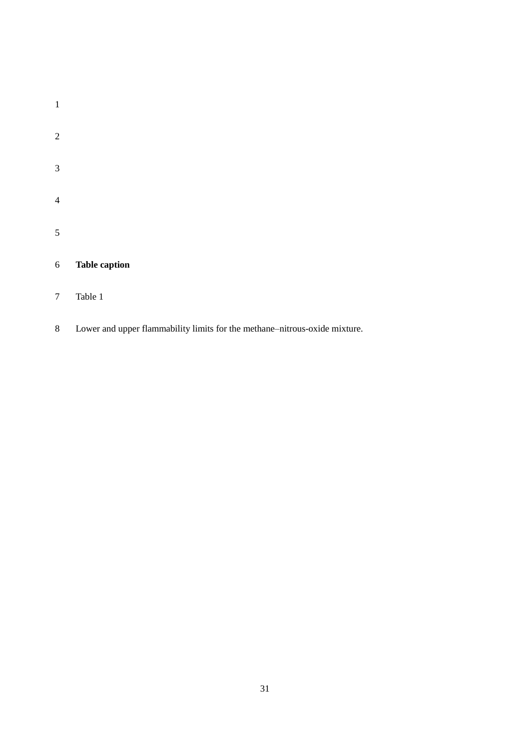| $\mathbf{1}$   |                      |
|----------------|----------------------|
| $\overline{2}$ |                      |
| 3              |                      |
| $\overline{4}$ |                      |
| 5              |                      |
| 6              | <b>Table caption</b> |
| 7              | Table 1              |

Lower and upper flammability limits for the methane–nitrous-oxide mixture.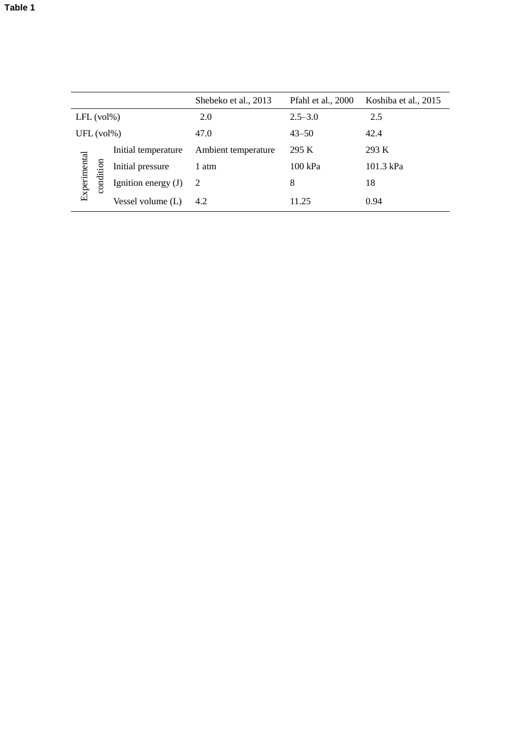|               |           |                     | Shebeko et al., 2013 | Pfahl et al., 2000 | Koshiba et al., 2015 |
|---------------|-----------|---------------------|----------------------|--------------------|----------------------|
| LFL $(vol\%)$ |           |                     | 2.0                  | $2.5 - 3.0$        | 2.5                  |
| $UFL$ (vol%)  |           |                     | 47.0                 | $43 - 50$          | 42.4                 |
| Experimental  | condition | Initial temperature | Ambient temperature  | 295 K              | 293 K                |
|               |           | Initial pressure    | 1 atm                | 100 kPa            | 101.3 kPa            |
|               |           | Ignition energy (J) | -2                   | 8                  | 18                   |
|               |           | Vessel volume (L)   | 4.2                  | 11.25              | 0.94                 |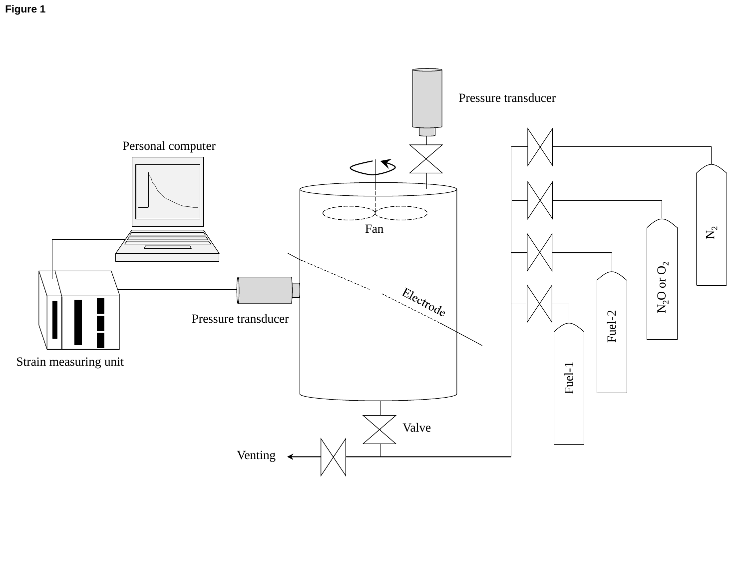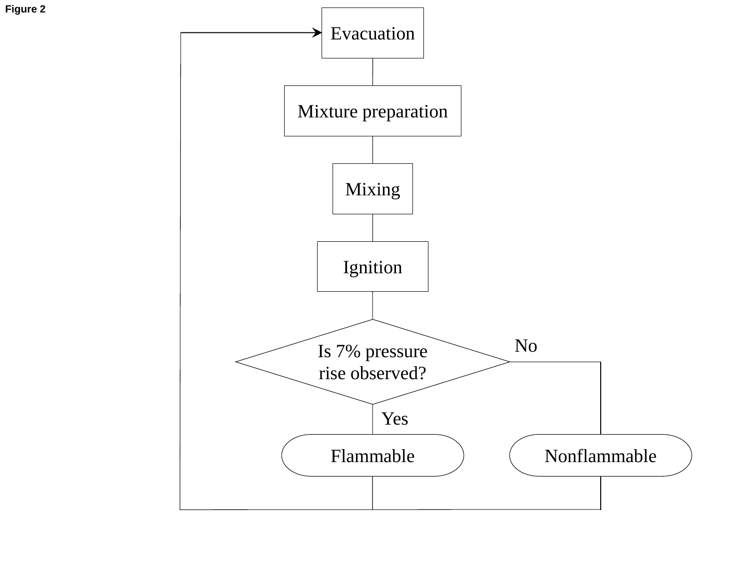

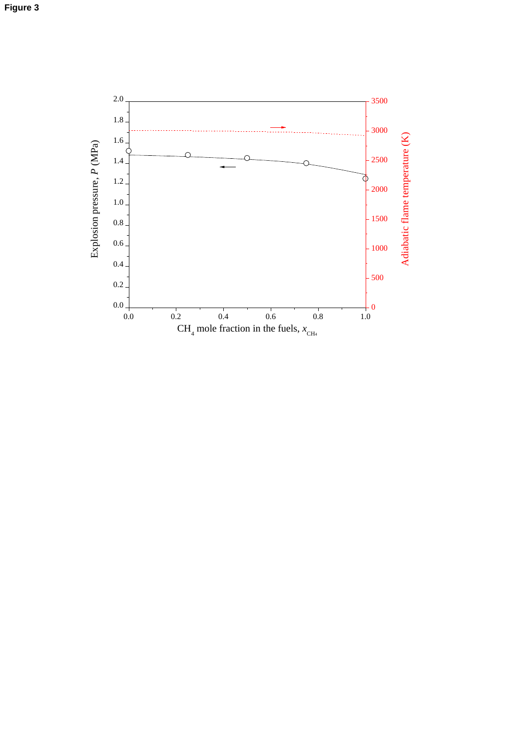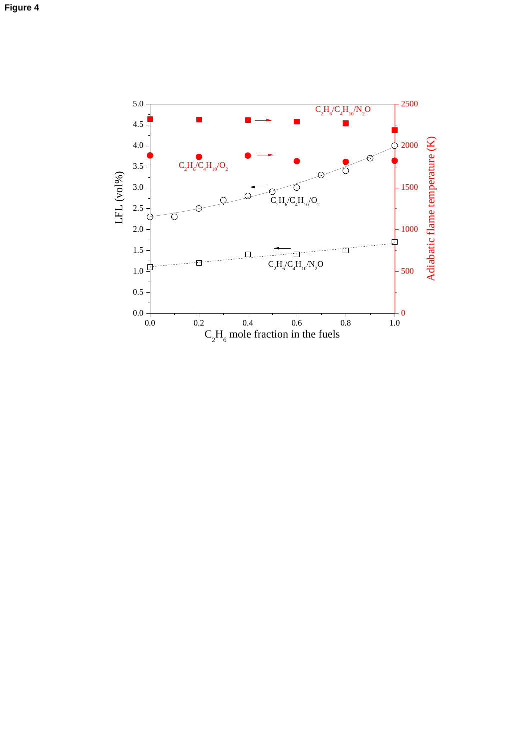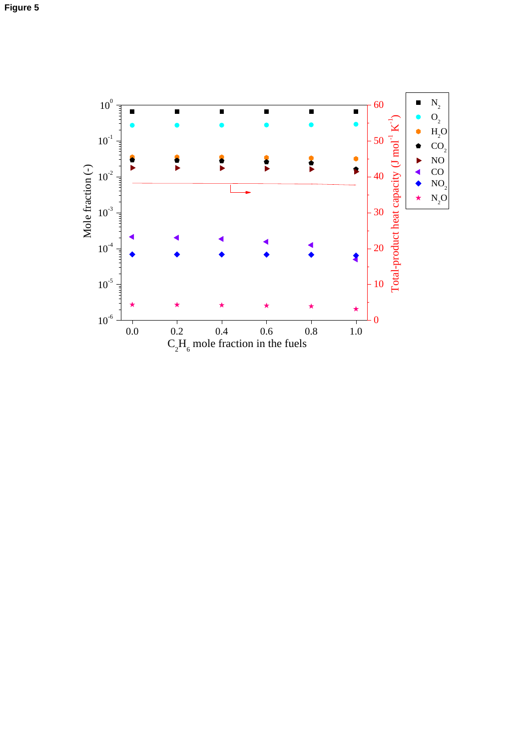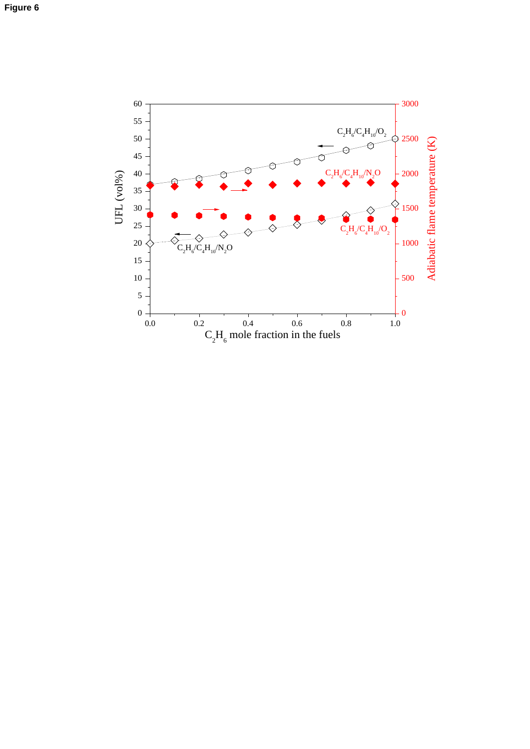